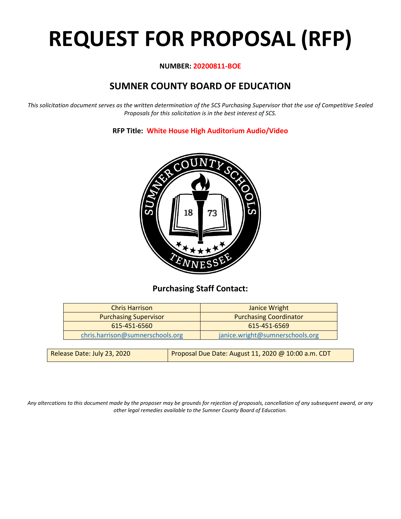# **REQUEST FOR PROPOSAL (RFP)**

## **NUMBER: 20200811-BOE**

# **SUMNER COUNTY BOARD OF EDUCATION**

*This solicitation document serves as the written determination of the SCS Purchasing Supervisor that the use of Competitive Sealed Proposals for this solicitation is in the best interest of SCS.*

**RFP Title: White House High Auditorium Audio/Video**



# **Purchasing Staff Contact:**

| <b>Chris Harrison</b>            | Janice Wright                   |
|----------------------------------|---------------------------------|
| <b>Purchasing Supervisor</b>     | <b>Purchasing Coordinator</b>   |
| 615-451-6560                     | 615-451-6569                    |
| chris.harrison@sumnerschools.org | janice.wright@sumnerschools.org |
|                                  |                                 |

| Release Date: July 23, 2020 | Proposal Due Date: August 11, 2020 @ 10:00 a.m. CDT |
|-----------------------------|-----------------------------------------------------|
|-----------------------------|-----------------------------------------------------|

*Any altercations to this document made by the proposer may be grounds for rejection of proposals, cancellation of any subsequent award, or any other legal remedies available to the Sumner County Board of Education.*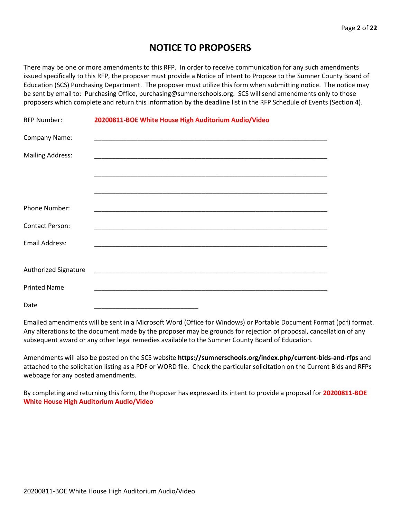# **NOTICE TO PROPOSERS**

There may be one or more amendments to this RFP. In order to receive communication for any such amendments issued specifically to this RFP, the proposer must provide a Notice of Intent to Propose to the Sumner County Board of Education (SCS) Purchasing Department. The proposer must utilize this form when submitting notice. The notice may be sent by email to: Purchasing Office, purchasing@sumnerschools.org. SCS will send amendments only to those proposers which complete and return this information by the deadline list in the RFP Schedule of Events (Section 4).

| <b>RFP Number:</b>          | 20200811-BOE White House High Auditorium Audio/Video |
|-----------------------------|------------------------------------------------------|
| Company Name:               |                                                      |
| <b>Mailing Address:</b>     |                                                      |
|                             |                                                      |
|                             |                                                      |
| Phone Number:               |                                                      |
| <b>Contact Person:</b>      |                                                      |
| <b>Email Address:</b>       |                                                      |
|                             |                                                      |
| <b>Authorized Signature</b> |                                                      |
| <b>Printed Name</b>         |                                                      |
| Date                        |                                                      |

Emailed amendments will be sent in a Microsoft Word (Office for Windows) or Portable Document Format (pdf) format. Any alterations to the document made by the proposer may be grounds for rejection of proposal, cancellation of any subsequent award or any other legal remedies available to the Sumner County Board of Education.

Amendments will also be posted on the SCS website **https://sumnerschools.org/index.php/current-bids-and-rfps** and attached to the solicitation listing as a PDF or WORD file. Check the particular solicitation on the Current Bids and RFPs webpage for any posted amendments.

By completing and returning this form, the Proposer has expressed its intent to provide a proposal for **20200811-BOE White House High Auditorium Audio/Video**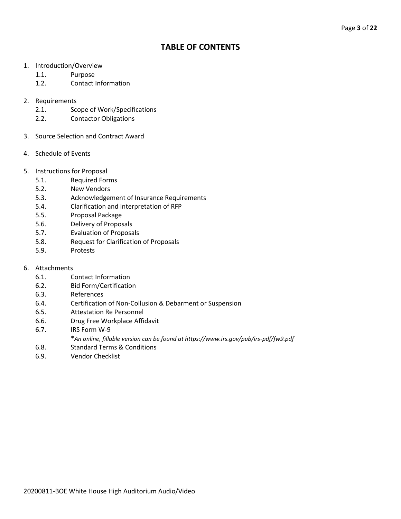# **TABLE OF CONTENTS**

- 1. Introduction/Overview
	- 1.1. Purpose
	- 1.2. Contact Information
- 2. Requirements
	- 2.1. Scope of Work/Specifications
	- 2.2. Contactor Obligations
- 3. Source Selection and Contract Award
- 4. Schedule of Events
- 5. Instructions for Proposal
	- 5.1. Required Forms
	- 5.2. New Vendors
	- 5.3. Acknowledgement of Insurance Requirements
	- 5.4. Clarification and Interpretation of RFP
	- 5.5. Proposal Package
	- 5.6. Delivery of Proposals
	- 5.7. Evaluation of Proposals
	- 5.8. Request for Clarification of Proposals
	- 5.9. Protests
- 6. Attachments
	- 6.1. Contact Information
	- 6.2. Bid Form/Certification
	- 6.3. References
	- 6.4. Certification of Non-Collusion & Debarment or Suspension
	- 6.5. Attestation Re Personnel
	- 6.6. Drug Free Workplace Affidavit
	- 6.7. IRS Form W-9
		- \**An online, fillable version can be found at https://www.irs.gov/pub/irs-pdf/fw9.pdf*
	- 6.8. Standard Terms & Conditions
	- 6.9. Vendor Checklist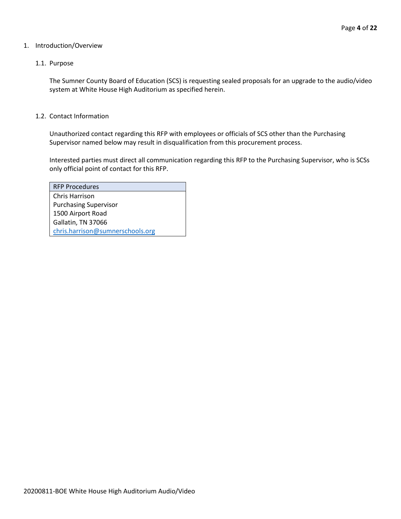### 1. Introduction/Overview

## 1.1. Purpose

The Sumner County Board of Education (SCS) is requesting sealed proposals for an upgrade to the audio/video system at White House High Auditorium as specified herein.

#### 1.2. Contact Information

Unauthorized contact regarding this RFP with employees or officials of SCS other than the Purchasing Supervisor named below may result in disqualification from this procurement process.

Interested parties must direct all communication regarding this RFP to the Purchasing Supervisor, who is SCSs only official point of contact for this RFP.

| <b>RFP Procedures</b>            |
|----------------------------------|
| Chris Harrison                   |
| <b>Purchasing Supervisor</b>     |
| 1500 Airport Road                |
| Gallatin, TN 37066               |
| chris.harrison@sumnerschools.org |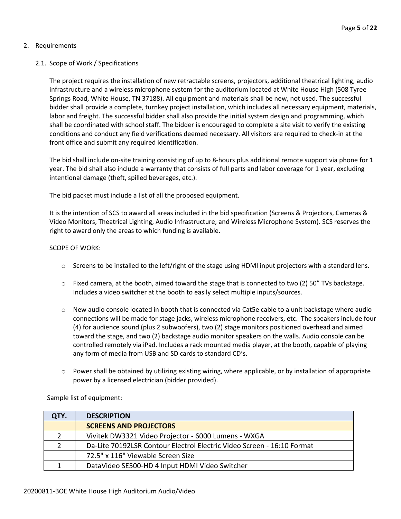## 2. Requirements

## 2.1. Scope of Work / Specifications

The project requires the installation of new retractable screens, projectors, additional theatrical lighting, audio infrastructure and a wireless microphone system for the auditorium located at White House High (508 Tyree Springs Road, White House, TN 37188). All equipment and materials shall be new, not used. The successful bidder shall provide a complete, turnkey project installation, which includes all necessary equipment, materials, labor and freight. The successful bidder shall also provide the initial system design and programming, which shall be coordinated with school staff. The bidder is encouraged to complete a site visit to verify the existing conditions and conduct any field verifications deemed necessary. All visitors are required to check-in at the front office and submit any required identification.

The bid shall include on-site training consisting of up to 8-hours plus additional remote support via phone for 1 year. The bid shall also include a warranty that consists of full parts and labor coverage for 1 year, excluding intentional damage (theft, spilled beverages, etc.).

The bid packet must include a list of all the proposed equipment.

It is the intention of SCS to award all areas included in the bid specification (Screens & Projectors, Cameras & Video Monitors, Theatrical Lighting, Audio Infrastructure, and Wireless Microphone System). SCS reserves the right to award only the areas to which funding is available.

## SCOPE OF WORK:

- $\circ$  Screens to be installed to the left/right of the stage using HDMI input projectors with a standard lens.
- $\circ$  Fixed camera, at the booth, aimed toward the stage that is connected to two (2) 50" TVs backstage. Includes a video switcher at the booth to easily select multiple inputs/sources.
- o New audio console located in booth that is connected via Cat5e cable to a unit backstage where audio connections will be made for stage jacks, wireless microphone receivers, etc. The speakers include four (4) for audience sound (plus 2 subwoofers), two (2) stage monitors positioned overhead and aimed toward the stage, and two (2) backstage audio monitor speakers on the walls. Audio console can be controlled remotely via iPad. Includes a rack mounted media player, at the booth, capable of playing any form of media from USB and SD cards to standard CD's.
- $\circ$  Power shall be obtained by utilizing existing wiring, where applicable, or by installation of appropriate power by a licensed electrician (bidder provided).

| QTY. | <b>DESCRIPTION</b>                                                     |  |
|------|------------------------------------------------------------------------|--|
|      | <b>SCREENS AND PROJECTORS</b>                                          |  |
|      | Vivitek DW3321 Video Projector - 6000 Lumens - WXGA                    |  |
|      | Da-Lite 70192LSR Contour Electrol Electric Video Screen - 16:10 Format |  |
|      | 72.5" x 116" Viewable Screen Size                                      |  |
|      | DataVideo SE500-HD 4 Input HDMI Video Switcher                         |  |

Sample list of equipment: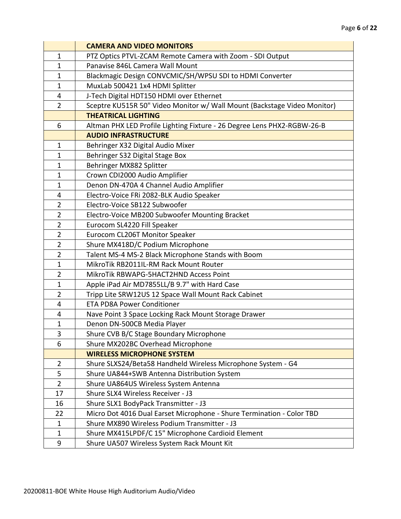|                | <b>CAMERA AND VIDEO MONITORS</b>                                         |  |
|----------------|--------------------------------------------------------------------------|--|
| $\mathbf{1}$   | PTZ Optics PTVL-ZCAM Remote Camera with Zoom - SDI Output                |  |
| $\mathbf{1}$   | Panavise 846L Camera Wall Mount                                          |  |
| $\mathbf{1}$   | Blackmagic Design CONVCMIC/SH/WPSU SDI to HDMI Converter                 |  |
| $\mathbf{1}$   | MuxLab 500421 1x4 HDMI Splitter                                          |  |
| 4              | J-Tech Digital HDT150 HDMI over Ethernet                                 |  |
| $\overline{2}$ | Sceptre KU515R 50" Video Monitor w/ Wall Mount (Backstage Video Monitor) |  |
|                | <b>THEATRICAL LIGHTING</b>                                               |  |
| 6              | Altman PHX LED Profile Lighting Fixture - 26 Degree Lens PHX2-RGBW-26-B  |  |
|                | <b>AUDIO INFRASTRUCTURE</b>                                              |  |
| $\mathbf{1}$   | Behringer X32 Digital Audio Mixer                                        |  |
| $\mathbf{1}$   | Behringer S32 Digital Stage Box                                          |  |
| $\mathbf{1}$   | Behringer MX882 Splitter                                                 |  |
| $\mathbf{1}$   | Crown CDI2000 Audio Amplifier                                            |  |
| $\mathbf{1}$   | Denon DN-470A 4 Channel Audio Amplifier                                  |  |
| 4              | Electro-Voice FRi 2082-BLK Audio Speaker                                 |  |
| $\overline{2}$ | Electro-Voice SB122 Subwoofer                                            |  |
| $\overline{2}$ | Electro-Voice MB200 Subwoofer Mounting Bracket                           |  |
| $\overline{2}$ | Eurocom SL4220 Fill Speaker                                              |  |
| $\overline{2}$ | Eurocom CL206T Monitor Speaker                                           |  |
| $\overline{2}$ | Shure MX418D/C Podium Microphone                                         |  |
| $\overline{2}$ | Talent MS-4 MS-2 Black Microphone Stands with Boom                       |  |
| $\mathbf{1}$   | MikroTik RB2011IL-RM Rack Mount Router                                   |  |
| $\overline{2}$ | MikroTik RBWAPG-5HACT2HND Access Point                                   |  |
| $\mathbf{1}$   | Apple iPad Air MD7855LL/B 9.7" with Hard Case                            |  |
| $\overline{2}$ | Tripp Lite SRW12US 12 Space Wall Mount Rack Cabinet                      |  |
| 4              | <b>ETA PD8A Power Conditioner</b>                                        |  |
| 4              | Nave Point 3 Space Locking Rack Mount Storage Drawer                     |  |
| $\mathbf{1}$   | Denon DN-500CB Media Player                                              |  |
| 3              | Shure CVB B/C Stage Boundary Microphone                                  |  |
| 6              | Shure MX202BC Overhead Microphone                                        |  |
|                | <b>WIRELESS MICROPHONE SYSTEM</b>                                        |  |
| $\overline{2}$ | Shure SLXS24/Beta58 Handheld Wireless Microphone System - G4             |  |
| 5              | Shure UA844+SWB Antenna Distribution System                              |  |
| $\overline{2}$ | Shure UA864US Wireless System Antenna                                    |  |
| 17             | Shure SLX4 Wireless Receiver - J3                                        |  |
| 16             | Shure SLX1 BodyPack Transmitter - J3                                     |  |
| 22             | Micro Dot 4016 Dual Earset Microphone - Shure Termination - Color TBD    |  |
| $\mathbf{1}$   | Shure MX890 Wireless Podium Transmitter - J3                             |  |
| $\mathbf{1}$   | Shure MX415LPDF/C 15" Microphone Cardioid Element                        |  |
| 9              | Shure UA507 Wireless System Rack Mount Kit                               |  |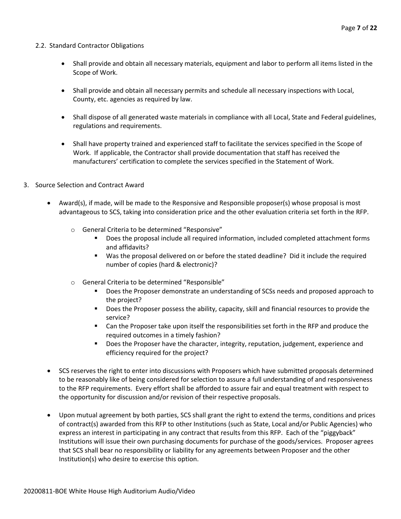## 2.2. Standard Contractor Obligations

- Shall provide and obtain all necessary materials, equipment and labor to perform all items listed in the Scope of Work.
- Shall provide and obtain all necessary permits and schedule all necessary inspections with Local, County, etc. agencies as required by law.
- Shall dispose of all generated waste materials in compliance with all Local, State and Federal guidelines, regulations and requirements.
- Shall have property trained and experienced staff to facilitate the services specified in the Scope of Work. If applicable, the Contractor shall provide documentation that staff has received the manufacturers' certification to complete the services specified in the Statement of Work.
- 3. Source Selection and Contract Award
	- Award(s), if made, will be made to the Responsive and Responsible proposer(s) whose proposal is most advantageous to SCS, taking into consideration price and the other evaluation criteria set forth in the RFP.
		- o General Criteria to be determined "Responsive"
			- Does the proposal include all required information, included completed attachment forms and affidavits?
			- Was the proposal delivered on or before the stated deadline? Did it include the required number of copies (hard & electronic)?
		- o General Criteria to be determined "Responsible"
			- Does the Proposer demonstrate an understanding of SCSs needs and proposed approach to the project?
			- Does the Proposer possess the ability, capacity, skill and financial resources to provide the service?
			- Can the Proposer take upon itself the responsibilities set forth in the RFP and produce the required outcomes in a timely fashion?
			- Does the Proposer have the character, integrity, reputation, judgement, experience and efficiency required for the project?
	- SCS reserves the right to enter into discussions with Proposers which have submitted proposals determined to be reasonably like of being considered for selection to assure a full understanding of and responsiveness to the RFP requirements. Every effort shall be afforded to assure fair and equal treatment with respect to the opportunity for discussion and/or revision of their respective proposals.
	- Upon mutual agreement by both parties, SCS shall grant the right to extend the terms, conditions and prices of contract(s) awarded from this RFP to other Institutions (such as State, Local and/or Public Agencies) who express an interest in participating in any contract that results from this RFP. Each of the "piggyback" Institutions will issue their own purchasing documents for purchase of the goods/services. Proposer agrees that SCS shall bear no responsibility or liability for any agreements between Proposer and the other Institution(s) who desire to exercise this option.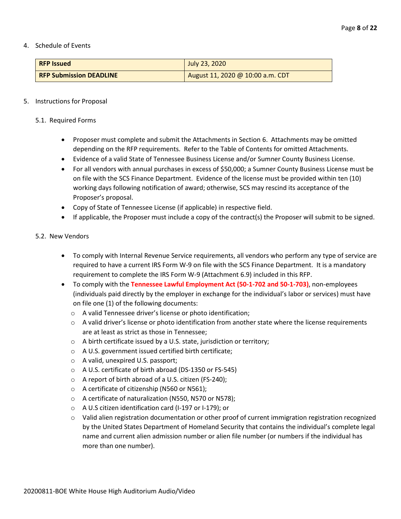#### 4. Schedule of Events

| <b>RFP Issued</b>              | July 23, 2020                    |  |
|--------------------------------|----------------------------------|--|
| <b>RFP Submission DEADLINE</b> | August 11, 2020 @ 10:00 a.m. CDT |  |

## 5. Instructions for Proposal

## 5.1. Required Forms

- Proposer must complete and submit the Attachments in Section 6. Attachments may be omitted depending on the RFP requirements. Refer to the Table of Contents for omitted Attachments.
- Evidence of a valid State of Tennessee Business License and/or Sumner County Business License.
- For all vendors with annual purchases in excess of \$50,000; a Sumner County Business License must be on file with the SCS Finance Department. Evidence of the license must be provided within ten (10) working days following notification of award; otherwise, SCS may rescind its acceptance of the Proposer's proposal.
- Copy of State of Tennessee License (if applicable) in respective field.
- If applicable, the Proposer must include a copy of the contract(s) the Proposer will submit to be signed.

## 5.2. New Vendors

- To comply with Internal Revenue Service requirements, all vendors who perform any type of service are required to have a current IRS Form W-9 on file with the SCS Finance Department. It is a mandatory requirement to complete the IRS Form W-9 (Attachment 6.9) included in this RFP.
- To comply with the **Tennessee Lawful Employment Act (50-1-702 and 50-1-703)**, non-employees (individuals paid directly by the employer in exchange for the individual's labor or services) must have on file one (1) of the following documents:
	- o A valid Tennessee driver's license or photo identification;
	- $\circ$  A valid driver's license or photo identification from another state where the license requirements are at least as strict as those in Tennessee;
	- o A birth certificate issued by a U.S. state, jurisdiction or territory;
	- o A U.S. government issued certified birth certificate;
	- o A valid, unexpired U.S. passport;
	- o A U.S. certificate of birth abroad (DS-1350 or FS-545)
	- o A report of birth abroad of a U.S. citizen (FS-240);
	- o A certificate of citizenship (N560 or N561);
	- o A certificate of naturalization (N550, N570 or N578);
	- o A U.S citizen identification card (I-197 or I-179); or
	- o Valid alien registration documentation or other proof of current immigration registration recognized by the United States Department of Homeland Security that contains the individual's complete legal name and current alien admission number or alien file number (or numbers if the individual has more than one number).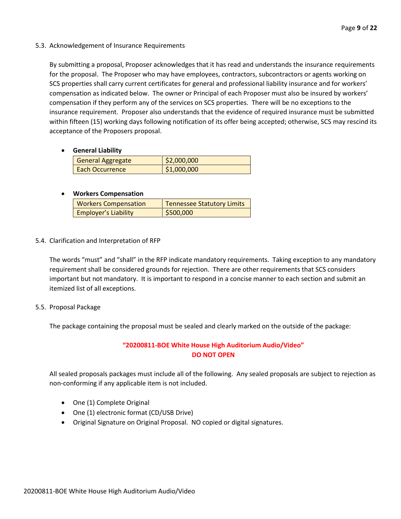## 5.3. Acknowledgement of Insurance Requirements

By submitting a proposal, Proposer acknowledges that it has read and understands the insurance requirements for the proposal. The Proposer who may have employees, contractors, subcontractors or agents working on SCS properties shall carry current certificates for general and professional liability insurance and for workers' compensation as indicated below. The owner or Principal of each Proposer must also be insured by workers' compensation if they perform any of the services on SCS properties. There will be no exceptions to the insurance requirement. Proposer also understands that the evidence of required insurance must be submitted within fifteen (15) working days following notification of its offer being accepted; otherwise, SCS may rescind its acceptance of the Proposers proposal.

## • **General Liability**

| <b>General Aggregate</b> | \$2,000,000 |
|--------------------------|-------------|
| Each Occurrence          | \$1,000,000 |

## • **Workers Compensation**

| <b>Workers Compensation</b> | <b>Tennessee Statutory Limits</b> |
|-----------------------------|-----------------------------------|
| <b>Employer's Liability</b> | \$500,000                         |

## 5.4. Clarification and Interpretation of RFP

The words "must" and "shall" in the RFP indicate mandatory requirements. Taking exception to any mandatory requirement shall be considered grounds for rejection. There are other requirements that SCS considers important but not mandatory. It is important to respond in a concise manner to each section and submit an itemized list of all exceptions.

## 5.5. Proposal Package

The package containing the proposal must be sealed and clearly marked on the outside of the package:

## **"20200811-BOE White House High Auditorium Audio/Video" DO NOT OPEN**

All sealed proposals packages must include all of the following. Any sealed proposals are subject to rejection as non-conforming if any applicable item is not included.

- One (1) Complete Original
- One (1) electronic format (CD/USB Drive)
- Original Signature on Original Proposal. NO copied or digital signatures.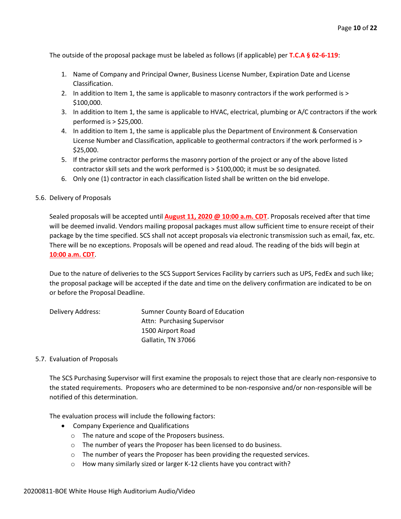The outside of the proposal package must be labeled as follows (if applicable) per **T.C.A § 62-6-119**:

- 1. Name of Company and Principal Owner, Business License Number, Expiration Date and License Classification.
- 2. In addition to Item 1, the same is applicable to masonry contractors if the work performed is > \$100,000.
- 3. In addition to Item 1, the same is applicable to HVAC, electrical, plumbing or A/C contractors if the work performed is > \$25,000.
- 4. In addition to Item 1, the same is applicable plus the Department of Environment & Conservation License Number and Classification, applicable to geothermal contractors if the work performed is > \$25,000.
- 5. If the prime contractor performs the masonry portion of the project or any of the above listed contractor skill sets and the work performed is > \$100,000; it must be so designated.
- 6. Only one (1) contractor in each classification listed shall be written on the bid envelope.

## 5.6. Delivery of Proposals

Sealed proposals will be accepted until **August 11, 2020 @ 10:00 a.m. CDT**. Proposals received after that time will be deemed invalid. Vendors mailing proposal packages must allow sufficient time to ensure receipt of their package by the time specified. SCS shall not accept proposals via electronic transmission such as email, fax, etc. There will be no exceptions. Proposals will be opened and read aloud. The reading of the bids will begin at **10:00 a.m. CDT**.

Due to the nature of deliveries to the SCS Support Services Facility by carriers such as UPS, FedEx and such like; the proposal package will be accepted if the date and time on the delivery confirmation are indicated to be on or before the Proposal Deadline.

| Delivery Address: | Sumner County Board of Education |
|-------------------|----------------------------------|
|                   | Attn: Purchasing Supervisor      |
|                   | 1500 Airport Road                |
|                   | Gallatin, TN 37066               |

## 5.7. Evaluation of Proposals

The SCS Purchasing Supervisor will first examine the proposals to reject those that are clearly non-responsive to the stated requirements. Proposers who are determined to be non-responsive and/or non-responsible will be notified of this determination.

The evaluation process will include the following factors:

- Company Experience and Qualifications
	- o The nature and scope of the Proposers business.
	- o The number of years the Proposer has been licensed to do business.
	- o The number of years the Proposer has been providing the requested services.
	- o How many similarly sized or larger K-12 clients have you contract with?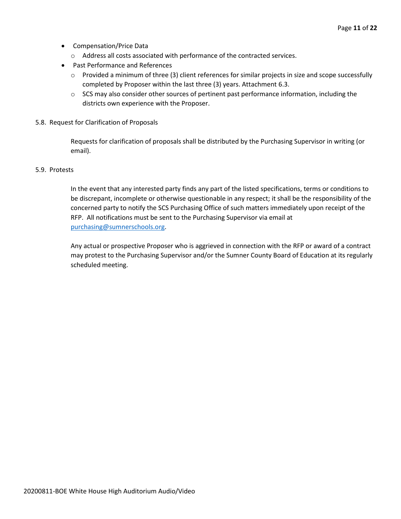- Compensation/Price Data
	- o Address all costs associated with performance of the contracted services.
- Past Performance and References
	- o Provided a minimum of three (3) client references for similar projects in size and scope successfully completed by Proposer within the last three (3) years. Attachment 6.3.
	- $\circ$  SCS may also consider other sources of pertinent past performance information, including the districts own experience with the Proposer.
- 5.8. Request for Clarification of Proposals

Requests for clarification of proposals shall be distributed by the Purchasing Supervisor in writing (or email).

## 5.9. Protests

In the event that any interested party finds any part of the listed specifications, terms or conditions to be discrepant, incomplete or otherwise questionable in any respect; it shall be the responsibility of the concerned party to notify the SCS Purchasing Office of such matters immediately upon receipt of the RFP. All notifications must be sent to the Purchasing Supervisor via email at [purchasing@sumnerschools.org.](mailto:purchasing@sumnerschools.org)

Any actual or prospective Proposer who is aggrieved in connection with the RFP or award of a contract may protest to the Purchasing Supervisor and/or the Sumner County Board of Education at its regularly scheduled meeting.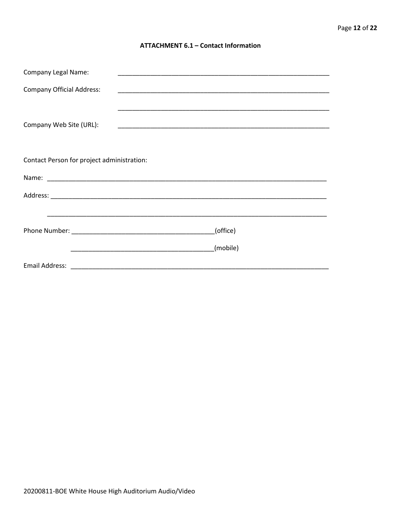## **ATTACHMENT 6.1 - Contact Information**

| <b>Company Legal Name:</b><br><u> 1989 - Johann Stoff, amerikansk politiker (d. 1989)</u> |          |  |  |
|-------------------------------------------------------------------------------------------|----------|--|--|
| <b>Company Official Address:</b>                                                          |          |  |  |
|                                                                                           |          |  |  |
| Company Web Site (URL):                                                                   |          |  |  |
|                                                                                           |          |  |  |
| Contact Person for project administration:                                                |          |  |  |
|                                                                                           |          |  |  |
|                                                                                           |          |  |  |
|                                                                                           |          |  |  |
|                                                                                           |          |  |  |
|                                                                                           | (office) |  |  |
|                                                                                           | (mobile) |  |  |
|                                                                                           |          |  |  |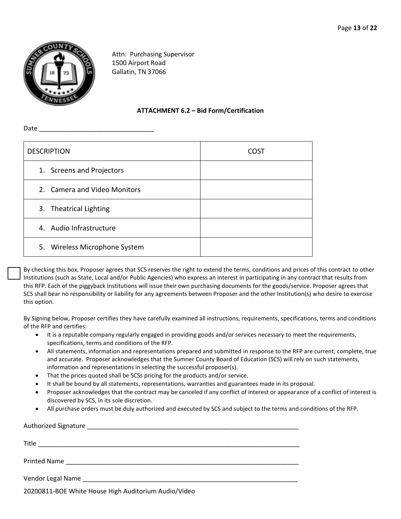

Attn: Purchasing Supervisor 1500 Airport Road Gallatin, TN 37066

## **ATTACHMENT 6.2 – Bid Form/Certification**

Date \_\_\_\_\_\_\_\_\_\_\_\_\_\_\_\_\_\_\_\_\_\_\_\_\_\_\_\_\_\_\_\_

| <b>DESCRIPTION</b>            | CUST |
|-------------------------------|------|
| 1. Screens and Projectors     |      |
| 2. Camera and Video Monitors  |      |
| 3. Theatrical Lighting        |      |
| 4. Audio Infrastructure       |      |
| 5. Wireless Microphone System |      |

By checking this box, Proposer agrees that SCS reserves the right to extend the terms, conditions and prices of this contract to other Institutions (such as State, Local and/or Public Agencies) who express an interest in participating in any contract that results from this RFP. Each of the piggyback Institutions will issue their own purchasing documents for the goods/service. Proposer agrees that SCS shall bear no responsibility or liability for any agreements between Proposer and the other Institution(s) who desire to exercise this option.

By Signing below, Proposer certifies they have carefully examined all instructions, requirements, specifications, terms and conditions of the RFP and certifies:

- It is a reputable company regularly engaged in providing goods and/or services necessary to meet the requirements, specifications, terms and conditions of the RFP.
- All statements, information and representations prepared and submitted in response to the RFP are current, complete, true and accurate. Proposer acknowledges that the Sumner County Board of Education (SCS) will rely on such statements, information and representations in selecting the successful proposer(s).
- That the prices quoted shall be SCSs pricing for the products and/or service.

20200811-BOE White House High Auditorium Audio/Video

- It shall be bound by all statements, representations, warranties and guarantees made in its proposal.
- Proposer acknowledges that the contract may be canceled if any conflict of interest or appearance of a conflict of interest is discovered by SCS, in its sole discretion.
- All purchase orders must be duly authorized and executed by SCS and subject to the terms and conditions of the RFP.

| Title               |
|---------------------|
| <b>Printed Name</b> |
| Vendor Legal Name   |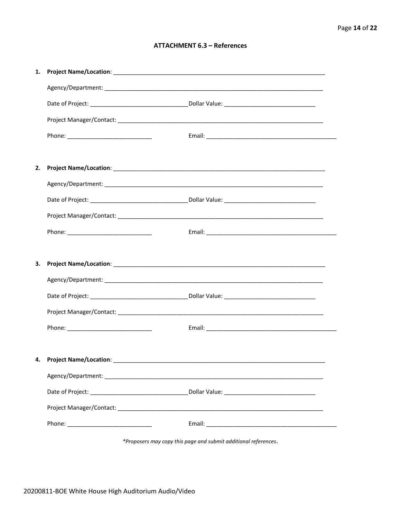## **ATTACHMENT 6.3 - References**

| 4. Project Name/Location: _________ |  |
|-------------------------------------|--|
|                                     |  |
|                                     |  |
|                                     |  |
|                                     |  |

\*Proposers may copy this page and submit additional references.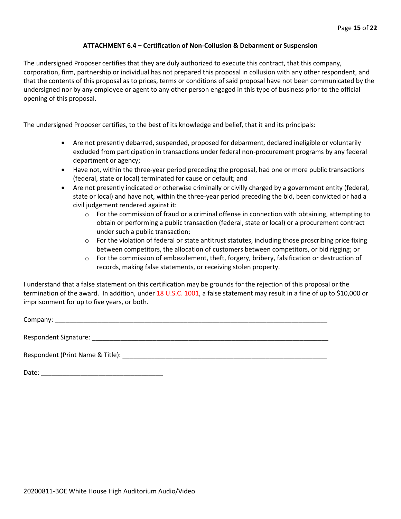## **ATTACHMENT 6.4 – Certification of Non-Collusion & Debarment or Suspension**

The undersigned Proposer certifies that they are duly authorized to execute this contract, that this company, corporation, firm, partnership or individual has not prepared this proposal in collusion with any other respondent, and that the contents of this proposal as to prices, terms or conditions of said proposal have not been communicated by the undersigned nor by any employee or agent to any other person engaged in this type of business prior to the official opening of this proposal.

The undersigned Proposer certifies, to the best of its knowledge and belief, that it and its principals:

- Are not presently debarred, suspended, proposed for debarment, declared ineligible or voluntarily excluded from participation in transactions under federal non-procurement programs by any federal department or agency;
- Have not, within the three-year period preceding the proposal, had one or more public transactions (federal, state or local) terminated for cause or default; and
- Are not presently indicated or otherwise criminally or civilly charged by a government entity (federal, state or local) and have not, within the three-year period preceding the bid, been convicted or had a civil judgement rendered against it:
	- $\circ$  For the commission of fraud or a criminal offense in connection with obtaining, attempting to obtain or performing a public transaction (federal, state or local) or a procurement contract under such a public transaction;
	- $\circ$  For the violation of federal or state antitrust statutes, including those proscribing price fixing between competitors, the allocation of customers between competitors, or bid rigging; or
	- o For the commission of embezzlement, theft, forgery, bribery, falsification or destruction of records, making false statements, or receiving stolen property.

I understand that a false statement on this certification may be grounds for the rejection of this proposal or the termination of the award. In addition, under 18 U.S.C. 1001, a false statement may result in a fine of up to \$10,000 or imprisonment for up to five years, or both.

Company: \_\_\_\_\_\_\_\_\_\_\_\_\_\_\_\_\_\_\_\_\_\_\_\_\_\_\_\_\_\_\_\_\_\_\_\_\_\_\_\_\_\_\_\_\_\_\_\_\_\_\_\_\_\_\_\_\_\_\_\_\_\_\_\_\_\_\_\_\_\_\_\_\_\_\_\_

Respondent Signature: \_\_\_\_\_\_\_\_\_\_\_\_\_\_\_\_\_\_\_\_\_\_\_\_\_\_\_\_\_\_\_\_\_\_\_\_\_\_\_\_\_\_\_\_\_\_\_\_\_\_\_\_\_\_\_\_\_\_\_\_\_\_\_\_\_\_

Respondent (Print Name & Title): \_\_\_\_\_\_\_\_\_\_\_\_\_\_\_\_\_\_\_\_\_\_\_\_\_\_\_\_\_\_\_\_\_\_\_\_\_\_\_\_\_\_\_\_\_\_\_\_\_\_\_\_\_\_\_\_\_

Date: \_\_\_\_\_\_\_\_\_\_\_\_\_\_\_\_\_\_\_\_\_\_\_\_\_\_\_\_\_\_\_\_\_\_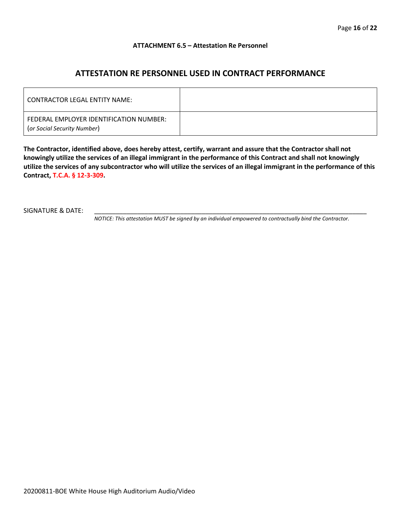## **ATTACHMENT 6.5 – Attestation Re Personnel**

## **ATTESTATION RE PERSONNEL USED IN CONTRACT PERFORMANCE**

| CONTRACTOR LEGAL ENTITY NAME:                                          |  |
|------------------------------------------------------------------------|--|
| FEDERAL EMPLOYER IDENTIFICATION NUMBER:<br>(or Social Security Number) |  |

**The Contractor, identified above, does hereby attest, certify, warrant and assure that the Contractor shall not knowingly utilize the services of an illegal immigrant in the performance of this Contract and shall not knowingly utilize the services of any subcontractor who will utilize the services of an illegal immigrant in the performance of this Contract, T.C.A. § 12-3-309.**

SIGNATURE & DATE:

*NOTICE: This attestation MUST be signed by an individual empowered to contractually bind the Contractor.*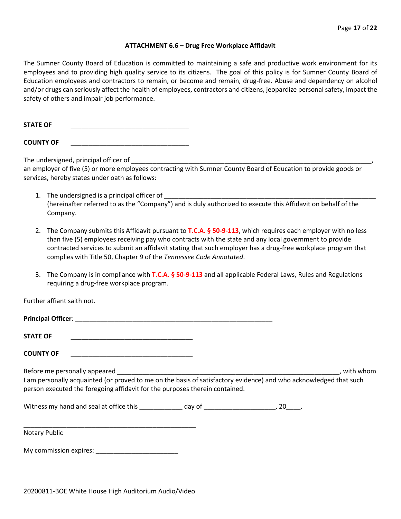#### **ATTACHMENT 6.6 – Drug Free Workplace Affidavit**

The Sumner County Board of Education is committed to maintaining a safe and productive work environment for its employees and to providing high quality service to its citizens. The goal of this policy is for Sumner County Board of Education employees and contractors to remain, or become and remain, drug-free. Abuse and dependency on alcohol and/or drugs can seriously affect the health of employees, contractors and citizens, jeopardize personal safety, impact the safety of others and impair job performance.

STATE OF

**COUNTY OF** \_\_\_\_\_\_\_\_\_\_\_\_\_\_\_\_\_\_\_\_\_\_\_\_\_\_\_\_\_\_\_\_\_

The undersigned, principal officer of

an employer of five (5) or more employees contracting with Sumner County Board of Education to provide goods or services, hereby states under oath as follows:

- 1. The undersigned is a principal officer of (hereinafter referred to as the "Company") and is duly authorized to execute this Affidavit on behalf of the Company.
- 2. The Company submits this Affidavit pursuant to **T.C.A. § 50-9-113**, which requires each employer with no less than five (5) employees receiving pay who contracts with the state and any local government to provide contracted services to submit an affidavit stating that such employer has a drug-free workplace program that complies with Title 50, Chapter 9 of the *Tennessee Code Annotated*.
- 3. The Company is in compliance with **T.C.A. § 50-9-113** and all applicable Federal Laws, Rules and Regulations requiring a drug-free workplace program.

Further affiant saith not.

| Principal Officer: |  |
|--------------------|--|
|                    |  |
| <b>STATE OF</b>    |  |

**COUNTY OF** \_\_\_\_\_\_\_\_\_\_\_\_\_\_\_\_\_\_\_\_\_\_\_\_\_\_\_\_\_\_\_\_\_\_

Before me personally appeared \_\_\_\_\_\_\_\_\_\_\_\_\_\_\_\_\_\_\_\_\_\_\_\_\_\_\_\_\_\_\_\_\_\_\_\_\_\_\_\_\_\_\_\_\_\_\_\_\_\_\_\_\_\_\_\_\_\_\_\_\_\_, with whom I am personally acquainted (or proved to me on the basis of satisfactory evidence) and who acknowledged that such person executed the foregoing affidavit for the purposes therein contained.

Witness my hand and seal at office this \_\_\_\_\_\_\_\_\_\_\_\_\_ day of \_\_\_\_\_\_\_\_\_\_\_\_\_\_\_\_\_\_\_\_\_, 20\_\_\_\_.

\_\_\_\_\_\_\_\_\_\_\_\_\_\_\_\_\_\_\_\_\_\_\_\_\_\_\_\_\_\_\_\_\_\_\_\_\_\_\_\_\_\_\_\_\_\_\_\_ Notary Public

My commission expires: \_\_\_\_\_\_\_\_\_\_\_\_\_\_\_\_\_\_\_\_\_\_\_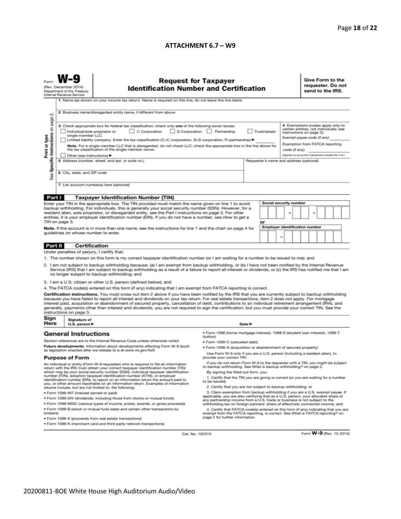## **ATTACHMENT 6.7 – W9**

|                                                                                                                                                                                                                                                                                                                                                                                                                                                                                                                                                                                                                                                                                                                                                                                                                                                                                                                                                                                                                                                                                                                                                                                                                                                                                                                                                                                                               | <b>Request for Taxpayer</b><br>(Rev. December 2014)<br><b>Identification Number and Certification</b><br>Department of the Treasury<br>Internal Revenue Service<br>1 Name (as shown on your income tax return). Name is required on this line; do not leave this line blank.                                                                                                                                                                                                                                                                                                                                                                                            |                                                                                                                                                                                                                                                                                                                                                                                                                                                                  |                                                                                                                                                                                                                                                                                                                                                                                                                                                                                                                                              |        |                                                                             |  |  |                                                                                                                                       | Give Form to the<br>requester. Do not<br>send to the IRS. |  |  |  |  |  |
|---------------------------------------------------------------------------------------------------------------------------------------------------------------------------------------------------------------------------------------------------------------------------------------------------------------------------------------------------------------------------------------------------------------------------------------------------------------------------------------------------------------------------------------------------------------------------------------------------------------------------------------------------------------------------------------------------------------------------------------------------------------------------------------------------------------------------------------------------------------------------------------------------------------------------------------------------------------------------------------------------------------------------------------------------------------------------------------------------------------------------------------------------------------------------------------------------------------------------------------------------------------------------------------------------------------------------------------------------------------------------------------------------------------|-------------------------------------------------------------------------------------------------------------------------------------------------------------------------------------------------------------------------------------------------------------------------------------------------------------------------------------------------------------------------------------------------------------------------------------------------------------------------------------------------------------------------------------------------------------------------------------------------------------------------------------------------------------------------|------------------------------------------------------------------------------------------------------------------------------------------------------------------------------------------------------------------------------------------------------------------------------------------------------------------------------------------------------------------------------------------------------------------------------------------------------------------|----------------------------------------------------------------------------------------------------------------------------------------------------------------------------------------------------------------------------------------------------------------------------------------------------------------------------------------------------------------------------------------------------------------------------------------------------------------------------------------------------------------------------------------------|--------|-----------------------------------------------------------------------------|--|--|---------------------------------------------------------------------------------------------------------------------------------------|-----------------------------------------------------------|--|--|--|--|--|
| 2 Business name/disregarded entity name, if different from above<br>$\sim$<br>3 Check appropriate box for federal tax classification; check only one of the following seven boxes:<br>C Corporation S Corporation Partnership<br>Individual/sole proprietor or<br>Trust/estate<br>single-member LLC<br>Limited liability company. Enter the tax classification (C=C corporation, S=S corporation, P=partnership) >                                                                                                                                                                                                                                                                                                                                                                                                                                                                                                                                                                                                                                                                                                                                                                                                                                                                                                                                                                                            |                                                                                                                                                                                                                                                                                                                                                                                                                                                                                                                                                                                                                                                                         |                                                                                                                                                                                                                                                                                                                                                                                                                                                                  |                                                                                                                                                                                                                                                                                                                                                                                                                                                                                                                                              |        |                                                                             |  |  | 4 Exemptions (codes apply only to<br>certain entities, not individuals; see<br>instructions on page 3):<br>Exempt payee code (if any) |                                                           |  |  |  |  |  |
| Specific Instructions on page<br>Print or type                                                                                                                                                                                                                                                                                                                                                                                                                                                                                                                                                                                                                                                                                                                                                                                                                                                                                                                                                                                                                                                                                                                                                                                                                                                                                                                                                                | Note. For a single-member LLC that is disregarded, do not check LLC; check the appropriate box in the line above for<br>the tax classification of the single-member owner.<br>Other (see instructions) ▶<br>5 Address (number, street, and apt. or suite no.)<br>Requester's name and address (optional)                                                                                                                                                                                                                                                                                                                                                                |                                                                                                                                                                                                                                                                                                                                                                                                                                                                  |                                                                                                                                                                                                                                                                                                                                                                                                                                                                                                                                              |        |                                                                             |  |  | Exemption from FATCA reporting<br>code (if any)<br>(Applies to accounts maintained outside the U.S.)                                  |                                                           |  |  |  |  |  |
| See                                                                                                                                                                                                                                                                                                                                                                                                                                                                                                                                                                                                                                                                                                                                                                                                                                                                                                                                                                                                                                                                                                                                                                                                                                                                                                                                                                                                           | 6 City, state, and ZIP code<br>7 List account number(s) here (optional)                                                                                                                                                                                                                                                                                                                                                                                                                                                                                                                                                                                                 |                                                                                                                                                                                                                                                                                                                                                                                                                                                                  |                                                                                                                                                                                                                                                                                                                                                                                                                                                                                                                                              |        |                                                                             |  |  |                                                                                                                                       |                                                           |  |  |  |  |  |
| Part I                                                                                                                                                                                                                                                                                                                                                                                                                                                                                                                                                                                                                                                                                                                                                                                                                                                                                                                                                                                                                                                                                                                                                                                                                                                                                                                                                                                                        |                                                                                                                                                                                                                                                                                                                                                                                                                                                                                                                                                                                                                                                                         | <b>Taxpayer Identification Number (TIN)</b>                                                                                                                                                                                                                                                                                                                                                                                                                      |                                                                                                                                                                                                                                                                                                                                                                                                                                                                                                                                              |        |                                                                             |  |  |                                                                                                                                       |                                                           |  |  |  |  |  |
|                                                                                                                                                                                                                                                                                                                                                                                                                                                                                                                                                                                                                                                                                                                                                                                                                                                                                                                                                                                                                                                                                                                                                                                                                                                                                                                                                                                                               | TIN on page 3.                                                                                                                                                                                                                                                                                                                                                                                                                                                                                                                                                                                                                                                          | Enter your TIN in the appropriate box. The TIN provided must match the name given on line 1 to avoid<br>backup withholding. For individuals, this is generally your social security number (SSN). However, for a<br>resident alien, sole proprietor, or disregarded entity, see the Part I instructions on page 3. For other<br>entities, it is your employer identification number (EIN). If you do not have a number, see How to get a                         |                                                                                                                                                                                                                                                                                                                                                                                                                                                                                                                                              |        | or                                                                          |  |  | <b>Social security number</b>                                                                                                         |                                                           |  |  |  |  |  |
| <b>Employer identification number</b><br>Note. If the account is in more than one name, see the instructions for line 1 and the chart on page 4 for<br>guidelines on whose number to enter.<br>-                                                                                                                                                                                                                                                                                                                                                                                                                                                                                                                                                                                                                                                                                                                                                                                                                                                                                                                                                                                                                                                                                                                                                                                                              |                                                                                                                                                                                                                                                                                                                                                                                                                                                                                                                                                                                                                                                                         |                                                                                                                                                                                                                                                                                                                                                                                                                                                                  |                                                                                                                                                                                                                                                                                                                                                                                                                                                                                                                                              |        |                                                                             |  |  |                                                                                                                                       |                                                           |  |  |  |  |  |
| Part II                                                                                                                                                                                                                                                                                                                                                                                                                                                                                                                                                                                                                                                                                                                                                                                                                                                                                                                                                                                                                                                                                                                                                                                                                                                                                                                                                                                                       | Certification                                                                                                                                                                                                                                                                                                                                                                                                                                                                                                                                                                                                                                                           |                                                                                                                                                                                                                                                                                                                                                                                                                                                                  |                                                                                                                                                                                                                                                                                                                                                                                                                                                                                                                                              |        |                                                                             |  |  |                                                                                                                                       |                                                           |  |  |  |  |  |
| Under penalties of perjury, I certify that:<br>1. The number shown on this form is my correct taxpayer identification number (or I am waiting for a number to be issued to me); and<br>2. I am not subject to backup withholding because: (a) I am exempt from backup withholding, or (b) I have not been notified by the Internal Revenue<br>Service (IRS) that I am subject to backup withholding as a result of a failure to report all interest or dividends, or (c) the IRS has notified me that I am<br>no longer subject to backup withholding; and<br>3. I am a U.S. citizen or other U.S. person (defined below); and<br>4. The FATCA code(s) entered on this form (if any) indicating that I am exempt from FATCA reporting is correct.<br>Certification instructions. You must cross out item 2 above if you have been notified by the IRS that you are currently subject to backup withholding<br>because you have failed to report all interest and dividends on your tax return. For real estate transactions, item 2 does not apply. For mortgage<br>interest paid, acquisition or abandonment of secured property, cancellation of debt, contributions to an individual retirement arrangement (IRA), and<br>generally, payments other than interest and dividends, you are not required to sign the certification, but you must provide your correct TIN. See the<br>instructions on page 3. |                                                                                                                                                                                                                                                                                                                                                                                                                                                                                                                                                                                                                                                                         |                                                                                                                                                                                                                                                                                                                                                                                                                                                                  |                                                                                                                                                                                                                                                                                                                                                                                                                                                                                                                                              |        |                                                                             |  |  |                                                                                                                                       |                                                           |  |  |  |  |  |
| Sign<br>Here                                                                                                                                                                                                                                                                                                                                                                                                                                                                                                                                                                                                                                                                                                                                                                                                                                                                                                                                                                                                                                                                                                                                                                                                                                                                                                                                                                                                  | Signature of<br>U.S. person $\blacktriangleright$                                                                                                                                                                                                                                                                                                                                                                                                                                                                                                                                                                                                                       |                                                                                                                                                                                                                                                                                                                                                                                                                                                                  |                                                                                                                                                                                                                                                                                                                                                                                                                                                                                                                                              | Date P |                                                                             |  |  |                                                                                                                                       |                                                           |  |  |  |  |  |
|                                                                                                                                                                                                                                                                                                                                                                                                                                                                                                                                                                                                                                                                                                                                                                                                                                                                                                                                                                                                                                                                                                                                                                                                                                                                                                                                                                                                               |                                                                                                                                                                                                                                                                                                                                                                                                                                                                                                                                                                                                                                                                         | ● Form 1098 (home mortgage interest), 1098-E (student loan interest), 1098-T<br><b>General Instructions</b><br>(tuition)<br>Section references are to the Internal Revenue Code unless otherwise noted.<br>· Form 1099-C (canceled debt)<br>Future developments. Information about developments affecting Form W-9 (such<br>. Form 1099-A (acquisition or abandonment of secured property)<br>as legislation enacted after we release it) is at www.irs.gov/fw9. |                                                                                                                                                                                                                                                                                                                                                                                                                                                                                                                                              |        |                                                                             |  |  |                                                                                                                                       |                                                           |  |  |  |  |  |
| <b>Purpose of Form</b><br>provide your correct TIN.                                                                                                                                                                                                                                                                                                                                                                                                                                                                                                                                                                                                                                                                                                                                                                                                                                                                                                                                                                                                                                                                                                                                                                                                                                                                                                                                                           |                                                                                                                                                                                                                                                                                                                                                                                                                                                                                                                                                                                                                                                                         |                                                                                                                                                                                                                                                                                                                                                                                                                                                                  |                                                                                                                                                                                                                                                                                                                                                                                                                                                                                                                                              |        | Use Form W-9 only if you are a U.S. person (including a resident alien), to |  |  |                                                                                                                                       |                                                           |  |  |  |  |  |
| An individual or entity (Form W-9 requester) who is required to file an information<br>return with the IRS must obtain your correct taxpayer identification number (TIN)<br>which may be your social security number (SSN), individual taxpayer identification<br>number (ITIN), adoption taxpayer identification number (ATIN), or employer<br>identification number (EIN), to report on an information return the amount paid to<br>you, or other amount reportable on an information return. Examples of information<br>returns include, but are not limited to, the following:<br>· Form 1099-INT (interest earned or paid)<br>. Form 1099-DIV (dividends, including those from stocks or mutual funds)                                                                                                                                                                                                                                                                                                                                                                                                                                                                                                                                                                                                                                                                                                   |                                                                                                                                                                                                                                                                                                                                                                                                                                                                                                                                                                                                                                                                         |                                                                                                                                                                                                                                                                                                                                                                                                                                                                  | If you do not return Form W-9 to the requester with a TIN, you might be subject<br>to backup withholding. See What is backup withholding? on page 2.<br>By signing the filled-out form, you:<br>1. Certify that the TIN you are giving is correct (or you are waiting for a number<br>to be issued).<br>2. Certify that you are not subject to backup withholding, or<br>3. Claim exemption from backup withholding if you are a U.S. exempt payee. If<br>applicable, you are also certifying that as a U.S. person, your allocable share of |        |                                                                             |  |  |                                                                                                                                       |                                                           |  |  |  |  |  |
| brokers)                                                                                                                                                                                                                                                                                                                                                                                                                                                                                                                                                                                                                                                                                                                                                                                                                                                                                                                                                                                                                                                                                                                                                                                                                                                                                                                                                                                                      | any partnership income from a U.S. trade or business is not subject to the<br>* Form 1099-MISC (various types of income, prizes, awards, or gross proceeds)<br>withholding tax on foreign partners' share of effectively connected income, and<br>. Form 1099-B (stock or mutual fund sales and certain other transactions by<br>4. Certify that FATCA code(s) entered on this form (if any) indicating that you are<br>exempt from the FATCA reporting, is correct. See What is FATCA reporting? on<br>page 2 for further information.<br>· Form 1099-S (proceeds from real estate transactions)<br>. Form 1099-K (merchant card and third party network transactions) |                                                                                                                                                                                                                                                                                                                                                                                                                                                                  |                                                                                                                                                                                                                                                                                                                                                                                                                                                                                                                                              |        |                                                                             |  |  |                                                                                                                                       |                                                           |  |  |  |  |  |

Cat. No. 10231X

Form W-9 (Rev. 12-2014)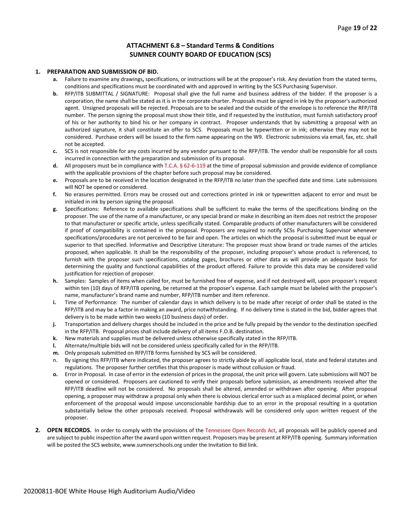### **ATTACHMENT 6.8 – Standard Terms & Conditions SUMNER COUNTY BOARD OF EDUCATION (SCS)**

#### **1. PREPARATION AND SUBMISSION OF BID.**

- **a.** Failure to examine any drawings**,** specifications, or instructions will be at the proposer's risk. Any deviation from the stated terms, conditions and specifications must be coordinated with and approved in writing by the SCS Purchasing Supervisor.
- **b.** RFP/ITB SUBMITTAL / SIGNATURE: Proposal shall give the full name and business address of the bidder. If the proposer is a corporation, the name shall be stated as it is in the corporate charter. Proposals must be signed in ink by the proposer's authorized agent. Unsigned proposals will be rejected. Proposals are to be sealed and the outside of the envelope is to reference the RFP/ITB number. The person signing the proposal must show their title, and if requested by the institution, must furnish satisfactory proof of his or her authority to bind his or her company in contract. Proposer understands that by submitting a proposal with an authorized signature, it shall constitute an offer to SCS. Proposals must be typewritten or in ink; otherwise they may not be considered. Purchase orders will be issued to the firm name appearing on the W9. Electronic submissions via email, fax, etc. shall not be accepted.
- **c.** SCS is not responsible for any costs incurred by any vendor pursuant to the RFP/ITB. The vendor shall be responsible for all costs incurred in connection with the preparation and submission of its proposal.
- **d.** All proposers must be in compliance with T.C.A. § 62-6-119 at the time of proposal submission and provide evidence of compliance with the applicable provisions of the chapter before such proposal may be considered.
- **e.** Proposals are to be received in the location designated in the RFP/ITB no later than the specified date and time. Late submissions will NOT be opened or considered.
- **f.** No erasures permitted. Errors may be crossed out and corrections printed in ink or typewritten adjacent to error and must be initialed in ink by person signing the proposal.
- **g.** Specifications: Reference to available specifications shall be sufficient to make the terms of the specifications binding on the proposer. The use of the name of a manufacturer, or any special brand or make in describing an item does not restrict the proposer to that manufacturer or specific article, unless specifically stated. Comparable products of other manufacturers will be considered if proof of compatibility is contained in the proposal. Proposers are required to notify SCSs Purchasing Supervisor whenever specifications/procedures are not perceived to be fair and open. The articles on which the proposal is submitted must be equal or superior to that specified. Informative and Descriptive Literature: The proposer must show brand or trade names of the articles proposed, when applicable. It shall be the responsibility of the proposer, including proposer's whose product is referenced, to furnish with the proposer such specifications, catalog pages, brochures or other data as will provide an adequate basis for determining the quality and functional capabilities of the product offered. Failure to provide this data may be considered valid justification for rejection of proposer.
- **h.** Samples: Samples of items when called for, must be furnished free of expense, and if not destroyed will, upon proposer's request within ten (10) days of RFP/ITB opening, be returned at the proposer's expense. Each sample must be labeled with the proposer's name, manufacturer's brand name and number, RFP/ITB number and item reference.
- **i.** Time of Performance: The number of calendar days in which delivery is to be made after receipt of order shall be stated in the RFP/ITB and may be a factor in making an award, price notwithstanding. If no delivery time is stated in the bid, bidder agrees that delivery is to be made within two weeks (10 business days) of order.
- **j.** Transportation and delivery charges should be included in the price and be fully prepaid by the vendor to the destination specified in the RFP/ITB. Proposal prices shall include delivery of all items F.O.B. destination.
- **k.** New materials and supplies must be delivered unless otherwise specifically stated in the RFP/ITB.
- **l.** Alternate/multiple bids will not be considered unless specifically called for in the RFP/ITB.
- **m.** Only proposals submitted on RFP/ITB forms furnished by SCS will be considered.
- n. By signing this RFP/ITB where indicated, the proposer agrees to strictly abide by all applicable local, state and federal statutes and regulations. The proposer further certifies that this proposer is made without collusion or fraud.
- **o.** Error in Proposal. In case of error in the extension of prices in the proposal, the unit price will govern. Late submissions will NOT be opened or considered. Proposers are cautioned to verify their proposals before submission, as amendments received after the RFP/ITB deadline will not be considered. No proposals shall be altered, amended or withdrawn after opening. After proposal opening, a proposer may withdraw a proposal only when there is obvious clerical error such as a misplaced decimal point, or when enforcement of the proposal would impose unconscionable hardship due to an error in the proposal resulting in a quotation substantially below the other proposals received. Proposal withdrawals will be considered only upon written request of the proposer.
- **2. OPEN RECORDS.** In order to comply with the provisions of the Tennessee Open Records Act, all proposals will be publicly opened and are subject to public inspection after the award upon written request. Proposers may be present at RFP/ITB opening. Summary information will be posted the SCS website, www.sumnerschools.org under the Invitation to Bid link.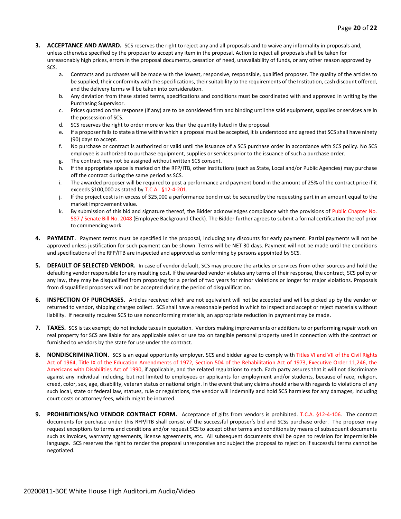- **3. ACCEPTANCE AND AWARD.** SCS reserves the right to reject any and all proposals and to waive any informality in proposals and, unless otherwise specified by the proposer to accept any item in the proposal. Action to reject all proposals shall be taken for unreasonably high prices, errors in the proposal documents, cessation of need, unavailability of funds, or any other reason approved by SCS.
	- a. Contracts and purchases will be made with the lowest, responsive, responsible, qualified proposer. The quality of the articles to be supplied, their conformity with the specifications, their suitability to the requirements of the Institution, cash discount offered, and the delivery terms will be taken into consideration.
	- b. Any deviation from these stated terms, specifications and conditions must be coordinated with and approved in writing by the Purchasing Supervisor.
	- c. Prices quoted on the response (if any) are to be considered firm and binding until the said equipment, supplies or services are in the possession of SCS.
	- d. SCS reserves the right to order more or less than the quantity listed in the proposal.
	- e. If a proposer fails to state a time within which a proposal must be accepted, it is understood and agreed that SCS shall have ninety (90) days to accept.
	- f. No purchase or contract is authorized or valid until the issuance of a SCS purchase order in accordance with SCS policy. No SCS employee is authorized to purchase equipment, supplies or services prior to the issuance of such a purchase order.
	- g. The contract may not be assigned without written SCS consent.
	- h. If the appropriate space is marked on the RFP/ITB, other Institutions (such as State, Local and/or Public Agencies) may purchase off the contract during the same period as SCS.
	- i. The awarded proposer will be required to post a performance and payment bond in the amount of 25% of the contract price if it exceeds \$100,000 as stated by T.C.A. §12-4-201.
	- j. If the project cost is in excess of \$25,000 a performance bond must be secured by the requesting part in an amount equal to the market improvement value.
	- k. By submission of this bid and signature thereof, the Bidder acknowledges compliance with the provisions of Public Chapter No. 587 / Senate Bill No. 2048 (Employee Background Check). The Bidder further agrees to submit a formal certification thereof prior to commencing work.
- **4. PAYMENT**. Payment terms must be specified in the proposal, including any discounts for early payment. Partial payments will not be approved unless justification for such payment can be shown. Terms will be NET 30 days. Payment will not be made until the conditions and specifications of the RFP/ITB are inspected and approved as conforming by persons appointed by SCS.
- **5. DEFAULT OF SELECTED VENDOR.** In case of vendor default, SCS may procure the articles or services from other sources and hold the defaulting vendor responsible for any resulting cost. If the awarded vendor violates any terms of their response, the contract, SCS policy or any law, they may be disqualified from proposing for a period of two years for minor violations or longer for major violations. Proposals from disqualified proposers will not be accepted during the period of disqualification.
- **6. INSPECTION OF PURCHASES.** Articles received which are not equivalent will not be accepted and will be picked up by the vendor or returned to vendor, shipping charges collect. SCS shall have a reasonable period in which to inspect and accept or reject materials without liability. If necessity requires SCS to use nonconforming materials, an appropriate reduction in payment may be made.
- **7. TAXES.** SCS is tax exempt; do not include taxes in quotation. Vendors making improvements or additions to or performing repair work on real property for SCS are liable for any applicable sales or use tax on tangible personal property used in connection with the contract or furnished to vendors by the state for use under the contract.
- **8. NONDISCRIMINATION.** SCS is an equal opportunity employer. SCS and bidder agree to comply with Titles VI and VII of the Civil Rights Act of 1964, Title IX of the Education Amendments of 1972, Section 504 of the Rehabilitation Act of 1973, Executive Order 11,246, the Americans with Disabilities Act of 1990, if applicable, and the related regulations to each. Each party assures that it will not discriminate against any individual including, but not limited to employees or applicants for employment and/or students, because of race, religion, creed, color, sex, age, disability, veteran status or national origin. In the event that any claims should arise with regards to violations of any such local, state or federal law, statues, rule or regulations, the vendor will indemnify and hold SCS harmless for any damages, including court costs or attorney fees, which might be incurred.
- **9. PROHIBITIONS/NO VENDOR CONTRACT FORM.** Acceptance of gifts from vendors is prohibited. T.C.A. §12-4-106. The contract documents for purchase under this RFP/ITB shall consist of the successful proposer's bid and SCSs purchase order. The proposer may request exceptions to terms and conditions and/or request SCS to accept other terms and conditions by means of subsequent documents such as invoices, warranty agreements, license agreements, etc. All subsequent documents shall be open to revision for impermissible language. SCS reserves the right to render the proposal unresponsive and subject the proposal to rejection if successful terms cannot be negotiated.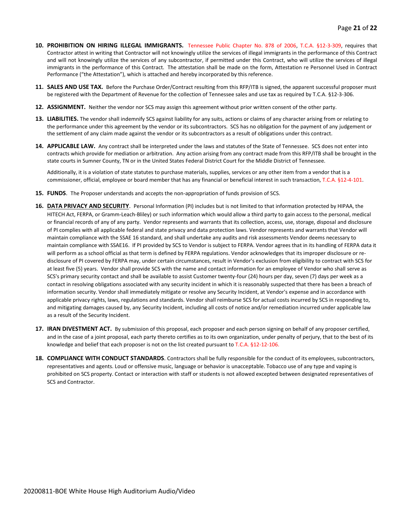- **10. PROHIBITION ON HIRING ILLEGAL IMMIGRANTS.** Tennessee Public Chapter No. 878 of 2006, T.C.A. §12-3-309, requires that Contractor attest in writing that Contractor will not knowingly utilize the services of illegal immigrants in the performance of this Contract and will not knowingly utilize the services of any subcontractor, if permitted under this Contract, who will utilize the services of illegal immigrants in the performance of this Contract. The attestation shall be made on the form, Attestation re Personnel Used in Contract Performance ("the Attestation"), which is attached and hereby incorporated by this reference.
- **11. SALES AND USE TAX.** Before the Purchase Order/Contract resulting from this RFP/ITB is signed, the apparent successful proposer must be registered with the Department of Revenue for the collection of Tennessee sales and use tax as required by T.C.A. §12-3-306.
- **12. ASSIGNMENT.** Neither the vendor nor SCS may assign this agreement without prior written consent of the other party.
- **13. LIABILITIES.** The vendor shall indemnify SCS against liability for any suits, actions or claims of any character arising from or relating to the performance under this agreement by the vendor or its subcontractors. SCS has no obligation for the payment of any judgement or the settlement of any claim made against the vendor or its subcontractors as a result of obligations under this contract.
- **14. APPLICABLE LAW.** Any contract shall be interpreted under the laws and statutes of the State of Tennessee. SCS does not enter into contracts which provide for mediation or arbitration. Any action arising from any contract made from this RFP/ITB shall be brought in the state courts in Sumner County, TN or in the United States Federal District Court for the Middle District of Tennessee.

Additionally, it is a violation of state statutes to purchase materials, supplies, services or any other item from a vendor that is a commissioner, official, employee or board member that has any financial or beneficial interest in such transaction, T.C.A. §12-4-101.

- **15. FUNDS**. The Proposer understands and accepts the non-appropriation of funds provision of SCS.
- **16. DATA PRIVACY AND SECURITY**. Personal Information (PI) includes but is not limited to that information protected by HIPAA, the HITECH Act, FERPA, or Gramm-Leach-Bliley) or such information which would allow a third party to gain access to the personal, medical or financial records of any of any party. Vendor represents and warrants that its collection, access, use, storage, disposal and disclosure of PI complies with all applicable federal and state privacy and data protection laws. Vendor represents and warrants that Vendor will maintain compliance with the SSAE 16 standard, and shall undertake any audits and risk assessments Vendor deems necessary to maintain compliance with SSAE16. If PI provided by SCS to Vendor is subject to FERPA. Vendor agrees that in its handling of FERPA data it will perform as a school official as that term is defined by FERPA regulations. Vendor acknowledges that its improper disclosure or redisclosure of PI covered by FERPA may, under certain circumstances, result in Vendor's exclusion from eligibility to contract with SCS for at least five (5) years. Vendor shall provide SCS with the name and contact information for an employee of Vendor who shall serve as SCS's primary security contact and shall be available to assist Customer twenty-four (24) hours per day, seven (7) days per week as a contact in resolving obligations associated with any security incident in which it is reasonably suspected that there has been a breach of information security. Vendor shall immediately mitigate or resolve any Security Incident, at Vendor's expense and in accordance with applicable privacy rights, laws, regulations and standards. Vendor shall reimburse SCS for actual costs incurred by SCS in responding to, and mitigating damages caused by, any Security Incident, including all costs of notice and/or remediation incurred under applicable law as a result of the Security Incident.
- **17. IRAN DIVESTMENT ACT.** By submission of this proposal, each proposer and each person signing on behalf of any proposer certified, and in the case of a joint proposal, each party thereto certifies as to its own organization, under penalty of perjury, that to the best of its knowledge and belief that each proposer is not on the list created pursuant to T.C.A. §12-12-106.
- **18. COMPLIANCE WITH CONDUCT STANDARDS**. Contractors shall be fully responsible for the conduct of its employees, subcontractors, representatives and agents. Loud or offensive music, language or behavior is unacceptable. Tobacco use of any type and vaping is prohibited on SCS property. Contact or interaction with staff or students is not allowed excepted between designated representatives of SCS and Contractor.